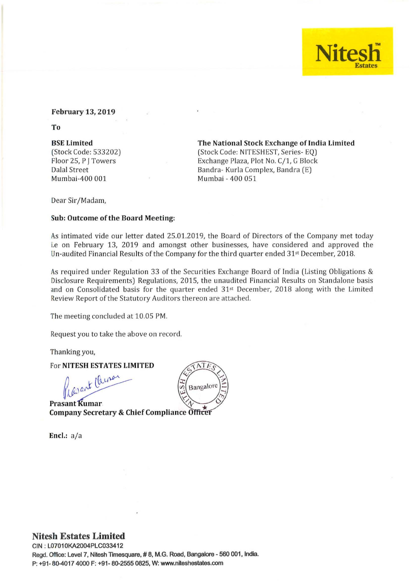## **Nite** Estates

### February 13, 2019

To

### BSE Limited

(Stock Code: 533202) Floor 25, P J Towers Dalal Street Mumbai-400 001

The National Stock Exchange of India Limited

(Stock Code: NITESHEST, Series-EQ) Exchange Plaza, Plot No. C/1, G Block Bandra- Kurla Complex, Bandra (E) Mumbai - 400 051

Dear Sir/Madam,

### Sub: Outcome of the Board Meeting:

As intimated vide our letter dated 25.01.2019, the Board of Directors of the Company met today i.e on February 13, 2019 and amongst other businesses, have considered and approved the Un-audited Financial Results of the Company for the third quarter ended 31st December, 2018.

As required under Regulation 33 of the Securities Exchange Board of India (Listing Obligations & Disclosure Requirements) Regulations, 2015, the unaudited Financial Results on Standalone basis and on Consolidated basis for the quarter ended 31<sup>st</sup> December, 2018 along with the Limited Review Report of the Statutory Auditors thereon are attached.

The meeting concluded at 10.05 PM.

Request you to take the above on record.

Thanking you,

For NITESH ESTATES LIMITED

Kasant China

**Prasant Kumar Company Secretary & Chief Compliance Officer** 

Encl.:  $a/a$ 



## Nitesh Estates **Limited**

CIN : L07010KA2004PLC033412 Regd. Office: Level 7, Nitesh Timesquare, #8, M.G. Road, Bangalore - 560 001, India. P: +91 - 80-4017 4000 F: +91 - 80-2555 0825, W: www.nlteshestates.com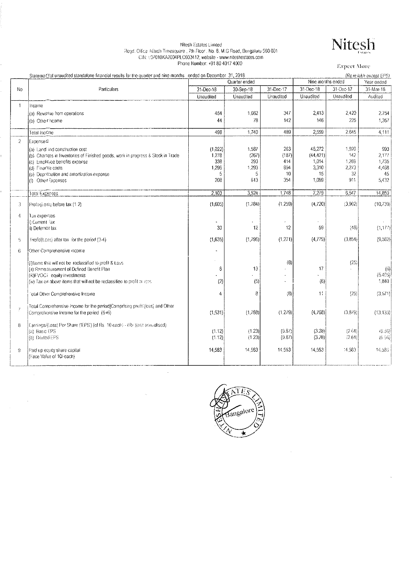## Nitesh Estates Limited<br>Regd. Office Nitesh Timesquare , 7th Ftoor . No. 8, M.G Road, Bengaluru 560 001<br>CIN: L97010KA2004PLC033412, website - www.niteshestates.com<br>Phone Number: +91 80 4017 4000

**Expect More** 

Nitesh

|                | Stateme@of unaudited standalone financial results for the quarter and nine months ended on December 31, 2018 |           |               |           |                   |            | (Rs in lakh except EPS) |
|----------------|--------------------------------------------------------------------------------------------------------------|-----------|---------------|-----------|-------------------|------------|-------------------------|
|                |                                                                                                              |           | Quarter ended |           | Nine months ended | Year ended |                         |
| 'No            | Particulars                                                                                                  | 31-Dec-18 | 30-Sep-18     | 31-Dec-17 | $31 - Dec - 18$   | 31-Dec-17  | 31-Mar-18               |
|                |                                                                                                              | Unaudited | Unaudited     | Unaudited | Unaudited         | Unaudited  | Audited                 |
| 1              | Incorne                                                                                                      |           |               |           |                   |            |                         |
|                | (a) Reverge from operations                                                                                  | 454       | 1.662         | 347       | 2,413             | 2.420      | 2.754                   |
|                | (b) Other hoome                                                                                              | 44        | 78            | 142       | 146               | 225        | 1,357                   |
|                |                                                                                                              |           |               |           |                   |            |                         |
|                | Total Income                                                                                                 | 498       | 1,740         | 489       | 2,559             | 2.645      | 4.111                   |
| $\overline{2}$ | Expense <sub>S</sub>                                                                                         |           |               |           |                   |            |                         |
|                | (a) Land and construction cost                                                                               | (1,022)   | 1.587         | 263       | 46.272            | 1.920      | 993                     |
|                | (b) Charages in Inventories of Finished goods, work in progress & Stock in Trade                             | 1,278     | (267)         | (187)     | (44, 421)         | 142        | 2,177                   |
|                | (c) Employee benefits expense                                                                                | 338       | 293           | 414       | 1,014             | 1.269      | 1,735                   |
|                | (d) Finance costs                                                                                            | 1,296     | 1,293         | 894       | 3,310             | 2,273      | 4.468                   |
|                | (e) Depresation and amortization expense                                                                     | 5         | 5             | 10        | 15                | 32         | 45                      |
|                | (f) Other Expenses                                                                                           | 208       | 613           | 354       | 1,089             | 911        | 5,432                   |
|                | Total Expenses                                                                                               | 2,103     | 3.524         | 1,748     | 7,279             | 6,547      | 14,850                  |
|                |                                                                                                              |           |               |           |                   |            |                         |
| 3              | Profitatiossi before lax (1-2)                                                                               | (1,605)   | (1.784)       | (1,259)   | (4,720)           | (3,902)    | (10.739)                |
| 4              | Tax expenses                                                                                                 |           |               |           |                   |            |                         |
|                | ii) Current Tax                                                                                              |           |               |           |                   |            |                         |
|                | ii) Deferred tax                                                                                             | 30        | 12            | 12        | 59                | (48)       | (1,177)                 |
| 5              | Frofit/(Loss) after tax for the period (3-4).                                                                | (1,635)   | (1.796)       | (1, 271)  | (4,779)           | (3,854)    | (9,562)                 |
| 6              | Other Comprehensive income                                                                                   |           |               |           |                   |            |                         |
|                | (i) tems that will not be reclassified to profit & Loss                                                      |           |               | (8)       |                   | (25)       |                         |
|                | (iii) Remeasurement of Defined Benefit Plan-                                                                 | 6         | 13            |           | 17                |            | (6)                     |
|                | (iii)FVOCI equity investments                                                                                |           |               |           |                   |            | (5.405)                 |
|                | (iv) Tax on above items that will not be reclassified to profit or less.                                     | (2)       | (5)           |           | (6)               |            | 1,840                   |
|                |                                                                                                              |           |               |           |                   |            |                         |
|                | Fotal Other Comprehensive Income                                                                             | 4         | 8             | (8)       | 11.               | (25)       | (3.571)                 |
|                | Total Comprehensive Income for the period(Comprising proBt(loss) and Other                                   |           |               |           |                   |            |                         |
| 7              | Comprehensive income for the period (5+6).                                                                   | (1, 531)  | (1.788)       | (1,279)   | (4,768)           | (3,879)    | (13.133)                |
|                |                                                                                                              |           |               |           |                   |            |                         |
| 8              | [Eamings/(toss) Per Share ('EPS') (of Rs. 10 each) - (Rs. )(not annualised).                                 |           |               |           |                   |            |                         |
|                | (a) Basic EPS                                                                                                | (1.12)    | (1.23)        | (0.87)    | (3.28)            | (2.64)     | (6.36)                  |
|                | (b) Diated EPS                                                                                               | (1.12)    | (1.23)        | (0.87)    | (3.28)            | (2.64)     | (6.56)                  |
| 9              | Paid up equity share capital                                                                                 | 14,583    | 14,583        | 14,583    | 14,583            | 14,583     | 14.583                  |
|                | (Face Value of 10/-each)                                                                                     |           |               |           |                   |            |                         |
|                |                                                                                                              |           |               |           |                   |            |                         |
|                |                                                                                                              |           |               |           |                   |            |                         |

 $\bar{\tau}_\mathrm{a}$ 

 $\bar{\beta}$ 



 $\bar{z}$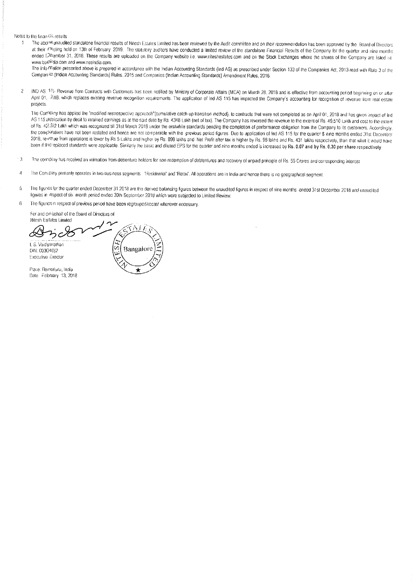#### Notes to the finan Cit results

 $\overline{1}$ 



The info finalion presented above is prepared in accordance with the Indian Accounting Standards (ind AS) as prescribed under Section 133 of the Companies Act, 2013 read with Rule 3 of the Comparries (Indian Accounting Standards) Rules, 2015 and Companies (Indian Accounting Standards) Amendment Rules, 2016.

IND AS 115. Revenue from Contracts with Customers has been notified by Ministry of Corporate Affairs (MCA) on March 28, 2018 and is effective from accounting period beginning on or after  $\overline{2}$ April 01, 2018, which replaces existing revenue recognition requirements. The application of Ind AS 115 has impacted the Company's accounting for recognition of revenue from real estate projects

The Company has applied the "modified restrospective approach"(cumulative catch-up transition method), to contracts that were not completed as on April 01, 2018 and has given impact of Ind AS 115 application by depit to retained earnings as at the said date by Rs. 4348 Lakh (net of tax). The Company has reversed the revenue to the extent of Rs. 49,510 Lakh and cost to the extent of Rs. 42.92 Lakh which was recognized till 31st March 2018 under the erstwhile standards pending the completion of performance obligation from the Company to its customers. Accordingly the comparatives have not been restated and hence are not comparable with the previous period figures. Due to application of Ind AS 115 for the quarter 8 nine months ended 31st December 2018, revelue from operations is lower by Rs 5 Lakhs and higher by Rs. 898 lakhs and Net Profit after tax is higher by Rs. 98 lakhs and Rs. 431 lakhs respectively, than that what it would have been if the replaced standards were applicable. Similarly the basic and diluted EPS for the quarter and nine months ended is increased by Rs. 0.07 and by Rs. 0.30 per share respectively

- The company has received an intimation from debenture holders for non redemption of debtentures and recovery of unpaid principle of Rs. 55 Crores and corresponding interest - 3
- The Corripany primarily operates in two business segments "Residential" and 'Retail'. All operations are in India and hence there is no geographical segment. 4
- The figures for the quarter ended December 31 2018 are the derived balancing figures between the unaudited figures in respect of nine months ended 31st December 2018 and unaudited -6 ligures in respect of six month period ended 30th September 2018 which were subjected to Limited Review.
- $\mathbf{f}$ The figures in respect of previous period have been regrouped/recast wherever necessary.

For and on sehalf of the Board of Directors of

Nitesh Estates Limited 5 A LA I. S. Vaidyanathar U) Bangalore DIN: 00304652 Executive Director Place: Berigaluru, India Date February 13, 2018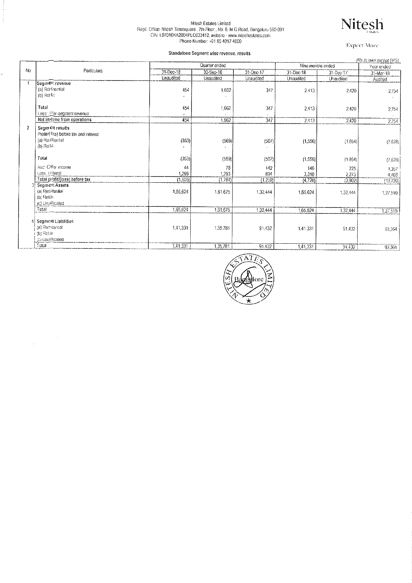## Nitesh Estates Limited<br>Regd. Office: Nitesh Timesquare , 7th Floor , No. 8, M.G Road. Bengaturu 560 001<br>CIN: L07010KA2004PLC033412, website - www.niteshestates.com<br>Phone Number: +91 80 4017 4000



**Expect More** 

#### Standalong So nant wier  $\overline{\phantom{a}}$

k.

|    |                                                                                         |           | Standalone Segment wise revenue, results |           |                   |           |                                       |
|----|-----------------------------------------------------------------------------------------|-----------|------------------------------------------|-----------|-------------------|-----------|---------------------------------------|
|    |                                                                                         |           | Quarter ended                            |           | Nine months ended |           | (Rs in lakh except EPS)<br>Year ended |
| No | Particulars                                                                             | 31-Dec-18 | 30-Sep-18                                | 31-Dec-17 | 31-Dec-18         | 31-Dec-17 | 31-Mar-18                             |
|    |                                                                                         | Unaudited | Unaudited                                | Unaudited | Unaudited         | Unaudited | Audited                               |
| 1  | SegmeRrevenue<br>(a) Ressential<br>(b) Re la                                            | 454       | 1,662                                    | 347       | 2.413             | 2.420     | 2,754                                 |
|    | Total<br>Less: {rer-segment revenue                                                     | 454       | 1,662                                    | 347       | 2,413             | 2.420     | 2.754                                 |
|    | Net in Gme from operations                                                              | 454       | 1,662                                    | 347       | 2.413             | 2.420     | 2,754                                 |
| 2  | Segm CR results<br>Profit/(itss) before tax and interest<br>(a) Resitential<br>(b) Reta | (353)     | (569)                                    | (507)     | (1, 556)          | (1.854)   | (7.628)                               |
|    | Total                                                                                   | (353)     | (569)                                    | (507)     | (1.556)           | (1.854)   | (7.628)                               |
|    | Aad: Offer income                                                                       | 44        | 78                                       | 142       | 146               | 225       | 1.357                                 |
|    | Less, Irierest                                                                          | 1.296     | 1,293                                    | 894       | 3.310             | 2,273     | 4,468                                 |
|    | Total profit/(loss) before tax                                                          | (1.605)   | (1,784)                                  | (1, 259)  | (4.720)           | (3,902)   | (10, 739)                             |
|    | <b>SegmOR Assets</b><br>(a) Resismial<br>(b) Reta-<br>(c) Unadiscated                   | 1,65,624  | 1,61,675                                 | 1,32,444  | 1.65.624          | 1,32,444  | 1,27,510                              |
|    | Total                                                                                   | 1,65,624  | 1,61,675                                 | 1,32,444  | 1,65,624          | 1,32,444  | 1,27,510                              |
|    | Seament Liabilities<br>(a) Residential<br>(b) Retail<br>to Unalfroated                  | 1,41,331  | 1,35,781                                 | 91,432    | 1.41.331          | 91,432    | 93,364                                |
|    | Total                                                                                   | 1,41,331  | 1,35,781                                 | 91,432    | 1,41,331          | 91.432    | 93.364                                |



1,41,331

 $91,432$ 

93,364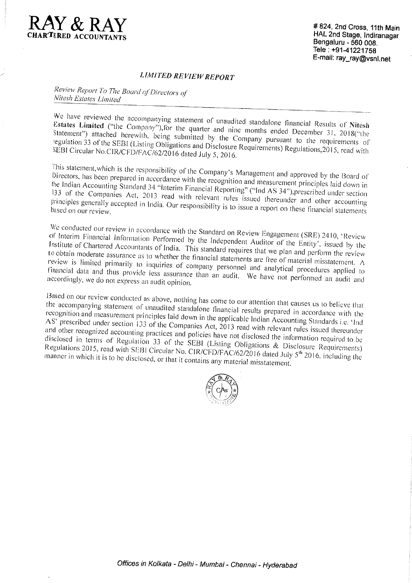

#824, 2nd Cross, 11th Main HAL 2nd Stage, Indiranagar Bengaluru - 560 008. Tele: +91-41221758 E-mail: ray\_ray@vsnl.net

## **LIMITED REVIEW REPORT**

Review Report To The Board of Directors of Nitesh Estates Limited

We have reviewed the accompanying statement of unaudited standalone financial Results of Nitesh Estates Limited ("the Company"), for the quarter and nine months ended December 31, 2018("the Statement") attached herewith, being submitted by the Company pursuant to the requirements of regulation 33 of the SEBI (Listing Obligations and Disclosure Requirements) Regulations, 2015, read with SEBI Circular No.CIR/CFD/FAC/62/2016 dated July 5, 2016.

This statement, which is the responsibility of the Company's Management and approved by the Board of Directors, has been prepared in accordance with the recognition and measurement principles laid down in the Indian Accounting Standard 34 "Interim Financial Reporting" ("Ind AS 34"), prescribed under section 133 of the Companies Act, 2013 read with relevant rules issued thereunder and other accounting principles generally accepted in India. Our responsibility is to issue a report on these financial statements

We conducted our review in accordance with the Standard on Review Engagement (SRE) 2410, 'Review of Interim Financial Information Performed by the Independent Auditor of the Entity', issued by the Institute of Chartered Accountants of India. This standard requires that we plan and perform the review to obtain moderate assurance as to whether the financial statements are free of material misstatement.  $\Lambda$ review is limited primarily to inquiries of company personnel and analytical procedures applied to financial data and thus provide less assurance than an audit. We have not performed an audit and accordingly, we do not express an audit opinion.

Based on our review conducted as above, nothing has come to our attention that causes us to believe that the accompanying statement of unaudited standalone financial results prepared in accordance with the recognition and measurement principles laid down in the applicable Indian Accounting Standards i.e. 'Ind AS' prescribed under section 133 of the Companies Act,  $2013$  read with relevant rules issued thereunder and other recognized accounting practices and policies have not disclosed the information required to be disclosed in terms of Regulation 33 of the SEBI (Listing Obligations & Disclosure Requirements) Regulations 2015, read with SEBI Circular No. CIR/CFD/FAC/62/2016 dated July 5<sup>th</sup> 2016, including the manner in which it is to be disclosed, or that it contains any material misstatement.

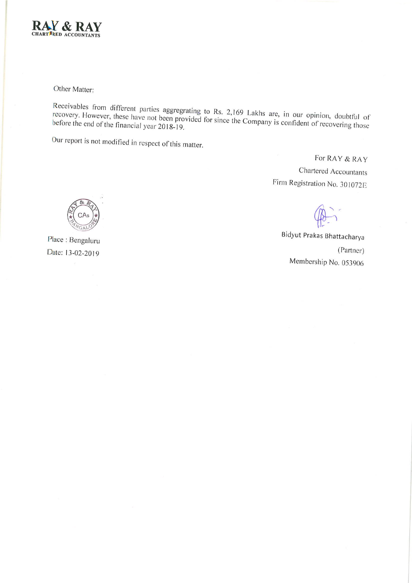

Other Matter:

Receivables from different parties aggregrating to Rs. 2,169 Lakhs are, in our opinion, doubtful of recovery. However, these have not been provided for since the Company is confident of recovering those before the end of the financial year 2018-19.

Our report is not modified in respect of this matter.

For RAY & RAY Chartered Accountants Firm Registration No. 301072E

Bidyut Prakas Bhattacharya (Partner) Membership No. 053906



Place: Bengaluru Date: 13-02-2019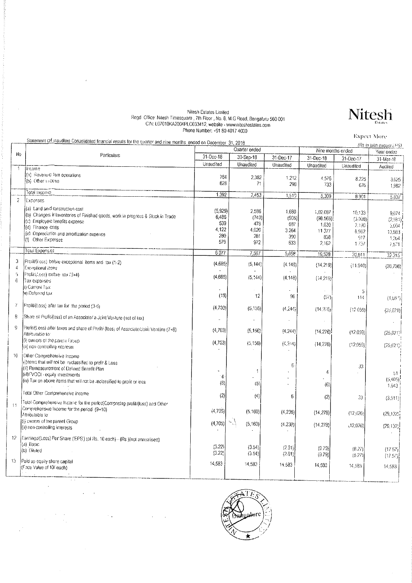## Nitesh Estates Limited<br>Regd. Office: Nitesh Timesquare , 7th Floor , No. 8, M.G Road, Bengaturu 560 001<br>CIN: L07010KA2004PLC033412, website - www.niteshestates.com<br>Phone Number: +91 80 4017 4000

|                           | Statement of traudited Consolidated financial results for the quarter and nine months, ended on December 31, 2018                                                                                                                                      | גוווידו דו טוף טער בסיוווידו וי               |                                                   |                                              |                                                         |                                                     | <b>Expect More</b>                                    |  |
|---------------------------|--------------------------------------------------------------------------------------------------------------------------------------------------------------------------------------------------------------------------------------------------------|-----------------------------------------------|---------------------------------------------------|----------------------------------------------|---------------------------------------------------------|-----------------------------------------------------|-------------------------------------------------------|--|
|                           |                                                                                                                                                                                                                                                        |                                               | Quarter ended                                     |                                              |                                                         | (Rs in lakn excopt LPS)<br>Nine months ended        |                                                       |  |
| No                        | Particulars                                                                                                                                                                                                                                            | 31-Dec-18                                     | 30-Sep-18                                         | 31-Dec-17                                    | 31-Dec-18                                               | 31-Dec-17                                           | Year ended                                            |  |
|                           |                                                                                                                                                                                                                                                        | Unaudited                                     | Unaudited                                         | Unaudited                                    | Unaudited                                               | Unaudited                                           | 31-Mar-18<br>Audited                                  |  |
|                           | Hircome<br>(a) Revenu® for operations<br>(b) Other moone                                                                                                                                                                                               | 764<br>628                                    | 2.382<br>71                                       | $-212$<br>298                                | 4.576<br>733                                            | 8.225<br>676                                        | 3.625<br>1.982                                        |  |
|                           | Total Income                                                                                                                                                                                                                                           | 1,392                                         | 2,453                                             | 1,519                                        | 5.309                                                   | 8.901                                               | 5,607                                                 |  |
| 2                         | Expenses<br>(a) Land and construction cost<br>(b) Changes in Inventories of Finished goods, work in progress & Stock in Trade<br>(c) Employee tenefits expense<br>(d) Finance costs<br>(e) Depreciation and amortization expense<br>(f) Other Expenses | (5.929)<br>6486<br>539<br>4.122<br>280<br>579 | 2,586<br>(740)<br>478<br>4,020<br>281<br>972      | 1,680<br>(906)<br>687<br>3.264<br>300<br>633 | 1.02.087<br>(98.566)<br>1.630<br>11 377<br>858<br>2.162 | 10,133<br>(3.098)<br>2.190<br>8,962<br>917<br>1.737 | 9,074<br>(2.581)<br>3.004<br>13,983<br>1.264<br>7,571 |  |
|                           | Tous Expenses                                                                                                                                                                                                                                          | 6.077                                         | 7,597                                             | 5,658                                        | 19,528                                                  | 20,841                                              | 32.315                                                |  |
| 3<br>$\overline{4}$<br>-5 | Protit/(Loss) before exceptional items and tax (1-2)<br>Exceptional items<br>Profilát.oss) bebie tax (3+4)                                                                                                                                             | (4,685)<br>(4,685)                            | (5, 144)<br>(5, 144)                              | (4.143)<br>(4.148)                           | (14, 219)<br>(14, 219)                                  | (11.940)                                            | (26, 708)                                             |  |
| $\ddot{\mathrm{o}}$<br>7  | Tax expenses<br>ii) Current Tax<br>Int Defensd tax                                                                                                                                                                                                     | (13)                                          | 12                                                | 96                                           | (57)                                                    | 5<br>114                                            | (1,087)                                               |  |
|                           | Profit/(t.oss) after tax for the period (3-6)                                                                                                                                                                                                          | (4, 703)                                      | (5, 156)                                          | (4, 24)                                      | (14.276)                                                | (12059)                                             | (25, 621)                                             |  |
| 8                         | Share of Profit/(loss) of an Associate/ a Joint Venture (net of tax)                                                                                                                                                                                   |                                               |                                                   |                                              |                                                         |                                                     |                                                       |  |
| 9                         | Profit/(Loss) after laxes and share of Profit/ (loss) of Associate/Joint Venture (7+8)<br>Attributable to<br>(i) owners of the parent Group<br>(ii) non-controlling interests                                                                          | (4,703)<br>(4,703)                            | (5, 156)<br>(5.156)                               | (4.244)<br>(4.244)                           | (14.276)<br>(14,276)                                    | (12.059)<br>(12.059)                                | (25, 621)<br>(25,621)                                 |  |
| 10                        | Other Comprehensive Income<br>(i) items that will not be reclassified to profit & Loss<br>(ii) Remeasurement of Defined Benefit Plan<br>(iiI)FVOCI - equity investments<br>(iv) Tax on above items that will not be reclassified to profit or loss.    | 4<br>(6)                                      | -1<br>(5)                                         | 6                                            | 4<br>(6)                                                | 33                                                  | b1<br>(5, 405)<br>1,643                               |  |
|                           | Total Other Comprehensive income                                                                                                                                                                                                                       | (2)                                           | (4)                                               | 6                                            | (2)                                                     | 33                                                  |                                                       |  |
| 11                        | Total Comprehensive Income for the period(Comprising profit/(loss) and Other<br>Comprehensive Income for the period (9+10)<br>Attributable to:<br>(i) cwhers of the parent Group<br>(ii) non-controlling interests                                     | (4,705)<br>(4,705)                            | (5, 160)<br>$\mathcal{P}(\mathcal{A})$<br>(5.160) | (4, 238)<br>(4.238)                          | (14, 278)<br>(14, 278)                                  | (12,026)<br>(12,026)                                | (3,511)<br>(29, 132)<br>(29, 132)                     |  |
| 12.                       | Earnings/(Loss) Per Share ('EPS') (of Rs. 10 each) - (Rs )(not annualised)<br>(a) Basic<br>(b) Diluted                                                                                                                                                 | (3.22)<br>(3.22)                              | (3.54)<br>(3.54)                                  | (2.91)<br>(2.91)                             | (9.79)<br>(9.79)                                        | (8.27)<br>(8.27)                                    | (17.57)<br>(17.57)                                    |  |
| 13                        | Paid up equity share capital<br>(Face Value of 10/-each)                                                                                                                                                                                               | 14,583                                        | 14.583                                            | 14,583                                       | 14,583                                                  | 14,583                                              | 14,583                                                |  |
|                           |                                                                                                                                                                                                                                                        |                                               |                                                   |                                              |                                                         |                                                     |                                                       |  |

 $\sqrt{16}$ lore

 $\hat{\mathcal{A}} = \hat{\mathcal{A}}$ 

 $\sim$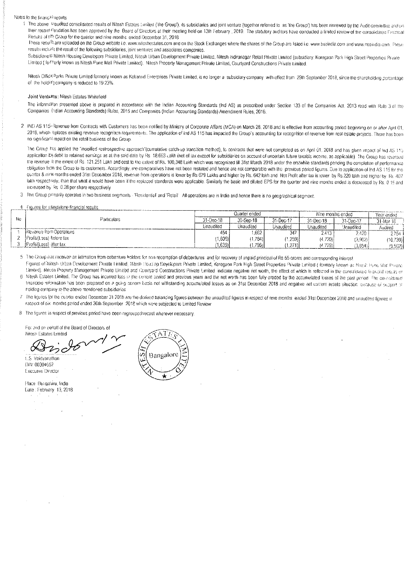#### Notes to the financile results

1. The above Baudited consolidated results of Nitesh Estates Limited (the Group'), its subsidiaries and joint venture (together referred to as the Group') has been reviewed by the Audit committing and on their recom Cendation has been approved by the Board of Directors at their meeting held on 13th February 2019. The statutory auditors have conducted a limited review of the consolidated Financial Results of the Group for the quarter and nine months lended December 31, 2018.

These result are uploaded on the Group website i.e. www.niteshestates.com and on the Stock Exchanges where the shares of the Group are listed i.e. www.bseindia.com and www.nseindia.com. These results inclu4te the result of the following subsidiaries, joint ventures and associates companies.

Subsidiane S Milesh Housing Developers Private Limited, Nitesh Urban Development Private Limited, Nilesh Indiranagar Rotail Private Limited (subsidiary: Koregaon Park High Street Properties Private Limited (for Ferly known as Nitesh Pune Mall Private Limited). Nitesh Property Management Private Limited, Courtyard Constructions Private Limited.

Nilesh OfficeParks Private Limited formerly known as Kakanad Enterprises Private Limited, is no longer a subsidiary company with effect from 29th September 2018, since the shareholding percentage of the hold if a company is reduced to 19.23%

#### Joint Ventures: Nilesh Estates-Whilefield

The information presented above is prepared in accordance with the Indian Accounting Standards (Ind AS) as prescribed under Section 133 of the Companies Act, 2013 read with Rule 3 of the Companies (adian Accounting Standards) Rules, 2015 and Companies (Indian Accounting Standards) Amendment Rules, 2016.

IND AS 115-Revenue from Contracts with Customers has been notified by Ministry of Corporate Affairs (MCA) on March 28, 2018 and is effective from accounting period beginning on or after April 01, 2018, which splaces existing revenue recognition requirements. The application of Ind AS 115 has impacted the Group's accounting for recognition of revenue from real estate projects. There has been no significant mpact on the retail business of the Group.

The Group has applied the "modified restrospective approach"(cumulative catch-up transition method), to contracts that were not completed as on April 01, 2018 and has given impact of this AS 115 application Dydebit to retained earnings as at the said date by Rs. 18,663 Lakh (net of tax except for subsidiaries on account of uncertain future taxable income, as applicable). The Group has reversed the revenue to the extent of Rs. 121.251 Lakh and cost to the extent of Rs. 100,348 Lakh which was recognized till 31st March 2018 under the erstwhile standards pending the completion of performance ebligation from the Group to its customers. Accordingly, me comparatives have not been restated and hence are not comparable with the previous period figures. Due to application of Ind AS 115 for the quarter & nine months ended 31st December 2018, revenue from operations is lower by Rs 679 Lakhs and higher by Rs. 642 lakh and Net Profit after tax is lower by Rs. 220 lakh and nicher by Rs. 2013 lakh respectively, than that what it would have been if the replaced standards were applicable. Similarly the basic and diluted EPS for the quarter and nine months ended is decreased by Rs. 0 15 and increased by Rs. 0.28 per share respectively

3 The Group prinarily operates in two business segments - 'Residential' and 'Retail' All operations are in India and hence there is no geographical segment.

#### 4 Figures for standalone financial results

|                |                          |           | Quarter ended |           | Nine months ended |                  | Year ended |
|----------------|--------------------------|-----------|---------------|-----------|-------------------|------------------|------------|
| N <sub>0</sub> | Particulars              | 31-Dec-18 | 30-Sep-18     | 31-Dec 17 | 31-Dec-18         | $31 - Dec-17$    |            |
|                |                          | Unaudited | Unaudiled     | Jnaudited | Jnaudited         | <b>Jnaudited</b> | Audited    |
|                | Revenue from Operations  | 454       | .662          | 347       | 2.413             | $-420$           | 2754 1     |
|                | Profit/(Loss) before tax | (1.605)   | 17841         | (1, 259)  | (4.720)           | (3.902)          | (10.739)   |
|                | Profit/(Loss) after tax  | (1.635)   | 17961         | (1.271)   | (4.779)           | 3,854            | (9.562)    |

- 5. The Group has received an intimation from debenture holders for non-recemption of debentures, and for recovery of unpaid principal of Rs 55 crores and corresponding interest Figures of Nitesh Urban Development Private Limited, Miesh Housing Developers Private Limited, Koregaon Park High Street Properties Private Limited (Trumerly known as Nitesh Hong Mint Private
- Limited). Nitesn Property Management Private Limited and Courtyard Constructions Private Limited indicate negative net worth, the effect of which is reflected in the consolidated financial results of 6. Nitesh Estates Limited. The Group has incurred loss in the current benod and previous years and the net worth has been fully eroded by the accumulated losses of the past period. The consolidated Infancials information has been prepared on a going conem basis not withstanding accumulated losses as on 31st December 2018 and negative net current assets situation, biocause of support of holding company to the above mentioned subsidiaries
- The figures for the cusrter ended December 31 2018 are the dorived balancing figures between the unaudited figures in respect of nine months ended 31st December 2018 and unaudited figures in 7 respect of six, months period ended 30th September, 2018 which were subjected to Limited Review

8 The figures in respect of previous period have been regrouped/recast wherever necessary.

For and on pehalf of the Board of Directors of Nitesh Estates Limited

t...S. Vaidyanathan DiN: 00304652

Executive Director

#### Place: Bengaluru, India Date: February 13, 2018

АT Bangalord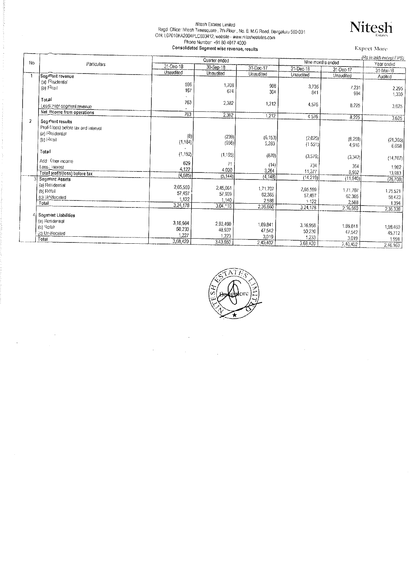# Nitesh Estates Limited<br>Regd Office: Nitesh Timesquare , 7th Floor , No. 8, M.G Road, Bengaluru 560 001<br>CIN: L07010KA2004PLC033412, website - www.niteshestates.com<br>Phone Number: +91 80 4017 4000



|                |                                                                                         |                                         | Consolidated Segment wise revenue, results |                                         |                                        |                                          | <b>Expect More</b>                      |  |
|----------------|-----------------------------------------------------------------------------------------|-----------------------------------------|--------------------------------------------|-----------------------------------------|----------------------------------------|------------------------------------------|-----------------------------------------|--|
|                |                                                                                         |                                         | Quarter ended                              |                                         |                                        | (Rs in lakh except EPS)                  |                                         |  |
| N <sub>0</sub> | Particulars                                                                             | 31-Dec-18                               | 30-Sep-18                                  |                                         | Nine months ended                      |                                          | Year ended                              |  |
|                |                                                                                         | Unaudited                               | Unaudited                                  | 31-Dec-17<br>Unaudited                  | 31-Dec 18                              | 31-Dec-17                                | 31-Mar-18                               |  |
|                | Seg Ment revenue                                                                        |                                         |                                            |                                         | Unaudited                              | Unaudited                                | Audited                                 |  |
|                | (a) Residential<br>(b) Realt                                                            | 596<br>167                              | 1,708<br>674                               | 908<br>304                              | 3.735<br>841                           | 7,231<br>994                             | 2,295<br>1,330                          |  |
|                | Total<br>Lese inter-segment revenue<br>Net income from operations                       | 763                                     | 2,382                                      | 1,212                                   | 4576                                   | 8,225                                    | 3,625                                   |  |
|                |                                                                                         | 763                                     | 2,382                                      | 1,212                                   | 4576                                   | 8,225                                    | 3,625                                   |  |
| 2              | Seg ment results<br>Profit/loss) before tax and interest<br>(a) Residential<br>(b) Real | (8)<br>(1, 184)                         | (239)<br>(956)                             | (6, 153)<br>5.283                       | (2,025)<br>(1551)                      | (8, 258)<br>4,916                        | (21.365)<br>6,658                       |  |
|                | Total                                                                                   | (1.192)                                 | (1.195)                                    | (870)                                   | (3,576)                                | (3,342)                                  | (14, 707)                               |  |
|                | Add: Other income<br>Loss: interest                                                     | 629<br>4,122                            | 71<br>4.020                                | (14)<br>3,264                           | 734<br>11,377                          | 364                                      | 1982                                    |  |
|                | Total profit/(loss) before tax                                                          | (4,685)                                 | (5, 144)                                   | (4, 148)                                | (14.219)                               | 8,962                                    | 13983                                   |  |
|                | Segment Assets<br>(a) Residential<br>(b) Retail<br>(c) Unallocated<br>Total             | 2,65,559<br>57,497<br>1.122<br>3,24,178 | 245,061<br>57 909<br>1.140<br>$3.04 - 10$  | 1,71,707<br>62,365<br>2,588<br>2,36,660 | 2,65,559<br>57,497<br>1122<br>3,24,178 | (11, 940)<br>1,71,707<br>62,365<br>2.588 | (26708)<br>1.75.521<br>58 4 23<br>1.394 |  |
|                |                                                                                         |                                         |                                            |                                         |                                        | 2.36.660                                 | 2,35,338                                |  |
|                | <b>Segment Liabilities</b><br>(a) Resdential<br>(b) Retail<br>(c) Unallocated<br>Total  | 3,16,964<br>50.230<br>1.227             | 2.93,490<br>48,937<br>1,223                | 1,89,841<br>47.542<br>3,019             | 3,16,958<br>50,230<br>1,233            | 1.89,841<br>47,542<br>3.019              | 1.98.460<br>45.712<br>1.991             |  |
|                |                                                                                         | 3,68,420                                | 3.43,650                                   | 2,40,402                                | 3,68,420                               | 2,40,462                                 | 2,46,163                                |  |



 $\bar{\gamma}$ 

l,

 $\bar{1}$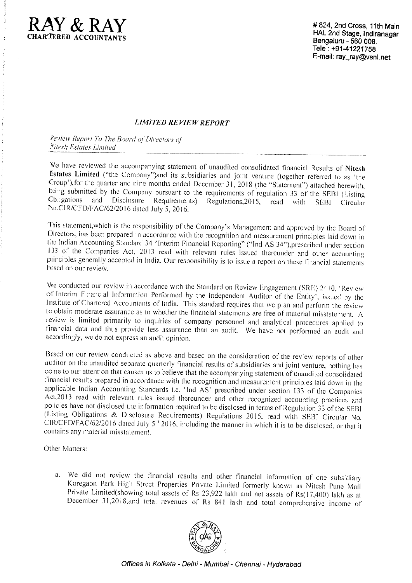

#824, 2nd Cross, 11th Main HAL 2nd Stage, Indiranagar Bengaluru - 560 008. Tele: +91-41221758 E-mail: ray\_ray@vsnl.net

### **LIMITED REVIEW REPORT**

Review Report To The Board of Directors of Nitesh Estates Limited

We have reviewed the accompanying statement of unaudited consolidated financial Results of Nitesh Estates Limited ("the Company")and its subsidiaries and joint venture (together referred to as 'the Group'), for the quarter and nine months ended December 31, 2018 (the "Statement") attached herewith, being submitted by the Company pursuant to the requirements of regulation 33 of the SEBI (Listing Obligations and Disclosure Requirements) Regulations, 2015, read with SEBI Circular No.CIR/CFD/FAC/62/2016 dated July 5, 2016.

This statement, which is the responsibility of the Company's Management and approved by the Board of Directors, has been prepared in accordance with the recognition and measurement principles laid down in the Indian Accounting Standard 34 "Interim Financial Reporting" ("Ind AS 34"), prescribed under section 133 of the Companies Act, 2013 read with relevant rules issued thereunder and other accounting principles generally accepted in India. Our responsibility is to issue a report on these financial statements based on our review.

We conducted our review in accordance with the Standard on Review Engagement (SRE) 2410, 'Review of Interim Financial Information Performed by the Independent Auditor of the Entity<sup>5</sup>, issued by the Institute of Chartered Accountants of India. This standard requires that we plan and perform the review to obtain moderate assurance as to whether the financial statements are free of material misstatement. A review is limited primarily to inquiries of company personnel and analytical procedures applied to financial data and thus provide less assurance than an audit. We have not performed an audit and accordingly, we do not express an audit opinion.

Based on our review conducted as above and based on the consideration of the review reports of other auditor on the unaudited separate quarterly financial results of subsidiaries and joint venture, nothing has come to our attention that causes us to believe that the accompanying statement of unaudited consolidated financial results prepared in accordance with the recognition and measurement principles laid down in the applicable Indian Accounting Standards i.e. 'Ind  $\overline{AS}$ ' prescribed under section 133 of the Companies Act,2013 read with relevant rules issued thereunder and other recognized accounting practices and policies have not disclosed the information required to be disclosed in terms of Regulation 33 of the SEBI (Listing Obligations & Disclosure Requirements) Regulations 2015, read with SEBI Circular No. CIR/CFD/FAC/62/2016 dated July 5<sup>th</sup> 2016, including the manner in which it is to be disclosed, or that it contains any material misstatement.

Other Matters:

a. We did not review the financial results and other financial information of one subsidiary Koregaon Park High Street Properties Private Limited formerly known as Nitesh Pune Mall Private Limited(showing total assets of Rs 23,922 lakh and net assets of Rs(17,400) lakh as at December 31,2018, and total revenues of Rs 841 lakh and total comprehensive income of



Offices in Kolkata - Delhi - Mumbai - Chennai - Hyderabad